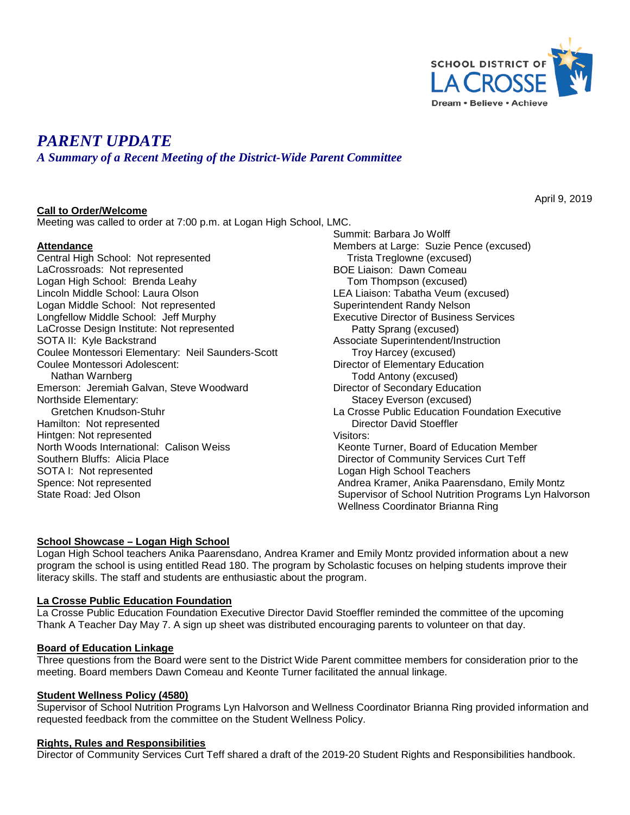

# *PARENT UPDATE*

*A Summary of a Recent Meeting of the District-Wide Parent Committee*

## **Call to Order/Welcome**

Meeting was called to order at 7:00 p.m. at Logan High School, LMC.

#### **Attendance**

Central High School: Not represented LaCrossroads: Not represented Logan High School: Brenda Leahy Lincoln Middle School: Laura Olson Logan Middle School: Not represented Longfellow Middle School: Jeff Murphy LaCrosse Design Institute: Not represented SOTA II: Kyle Backstrand Coulee Montessori Elementary: Neil Saunders-Scott Coulee Montessori Adolescent: Nathan Warnberg Emerson: Jeremiah Galvan, Steve Woodward Northside Elementary: Gretchen Knudson-Stuhr Hamilton: Not represented Hintgen: Not represented North Woods International: Calison Weiss Southern Bluffs: Alicia Place SOTA I: Not represented Spence: Not represented State Road: Jed Olson

Summit: Barbara Jo Wolff Members at Large: Suzie Pence (excused) Trista Treglowne (excused) BOE Liaison: Dawn Comeau Tom Thompson (excused) LEA Liaison: Tabatha Veum (excused) Superintendent Randy Nelson Executive Director of Business Services Patty Sprang (excused) Associate Superintendent/Instruction Troy Harcey (excused) Director of Elementary Education Todd Antony (excused) Director of Secondary Education Stacey Everson (excused) La Crosse Public Education Foundation Executive Director David Stoeffler Visitors: Keonte Turner, Board of Education Member Director of Community Services Curt Teff Logan High School Teachers Andrea Kramer, Anika Paarensdano, Emily Montz Supervisor of School Nutrition Programs Lyn Halvorson Wellness Coordinator Brianna Ring

#### **School Showcase – Logan High School**

Logan High School teachers Anika Paarensdano, Andrea Kramer and Emily Montz provided information about a new program the school is using entitled Read 180. The program by Scholastic focuses on helping students improve their literacy skills. The staff and students are enthusiastic about the program.

#### **La Crosse Public Education Foundation**

La Crosse Public Education Foundation Executive Director David Stoeffler reminded the committee of the upcoming Thank A Teacher Day May 7. A sign up sheet was distributed encouraging parents to volunteer on that day.

#### **Board of Education Linkage**

Three questions from the Board were sent to the District Wide Parent committee members for consideration prior to the meeting. Board members Dawn Comeau and Keonte Turner facilitated the annual linkage.

#### **Student Wellness Policy (4580)**

Supervisor of School Nutrition Programs Lyn Halvorson and Wellness Coordinator Brianna Ring provided information and requested feedback from the committee on the Student Wellness Policy.

#### **Rights, Rules and Responsibilities**

Director of Community Services Curt Teff shared a draft of the 2019-20 Student Rights and Responsibilities handbook.

April 9, 2019